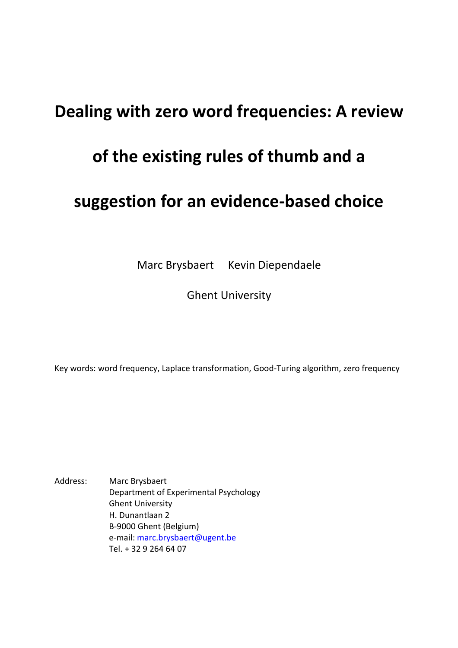# **Dealing with zero word frequencies: A review**

# **of the existing rules of thumb and a**

# **suggestion for an evidence-based choice**

Marc Brysbaert Kevin Diependaele

Ghent University

Key words: word frequency, Laplace transformation, Good-Turing algorithm, zero frequency

Address: Marc Brysbaert Department of Experimental Psychology Ghent University H. Dunantlaan 2 B-9000 Ghent (Belgium) e-mail: marc.brysbaert@ugent.be Tel. + 32 9 264 64 07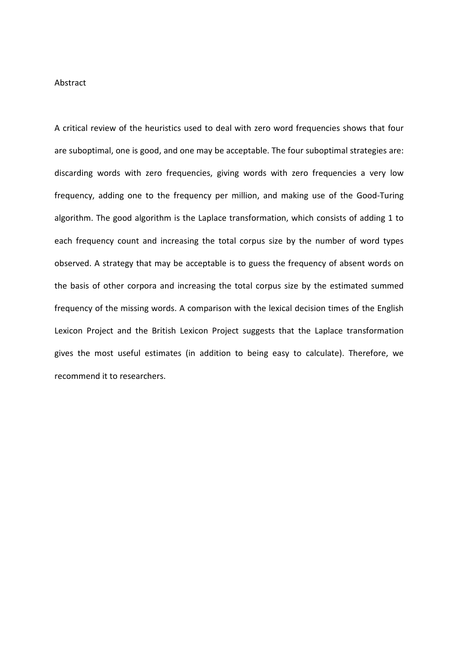### Abstract

A critical review of the heuristics used to deal with zero word frequencies shows that four are suboptimal, one is good, and one may be acceptable. The four suboptimal strategies are: discarding words with zero frequencies, giving words with zero frequencies a very low frequency, adding one to the frequency per million, and making use of the Good-Turing algorithm. The good algorithm is the Laplace transformation, which consists of adding 1 to each frequency count and increasing the total corpus size by the number of word types observed. A strategy that may be acceptable is to guess the frequency of absent words on the basis of other corpora and increasing the total corpus size by the estimated summed frequency of the missing words. A comparison with the lexical decision times of the English Lexicon Project and the British Lexicon Project suggests that the Laplace transformation gives the most useful estimates (in addition to being easy to calculate). Therefore, we recommend it to researchers.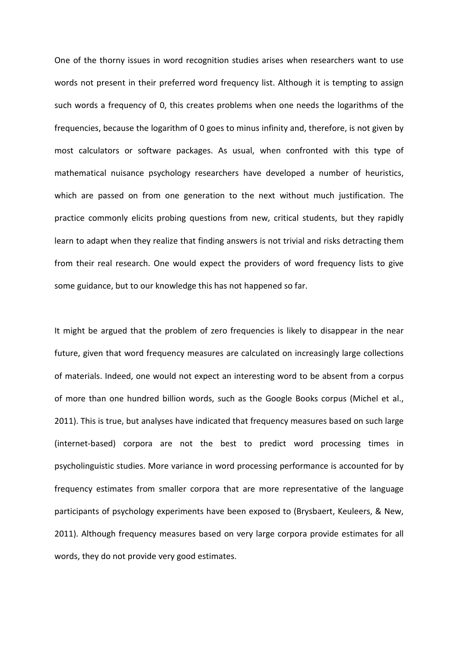One of the thorny issues in word recognition studies arises when researchers want to use words not present in their preferred word frequency list. Although it is tempting to assign such words a frequency of 0, this creates problems when one needs the logarithms of the frequencies, because the logarithm of 0 goes to minus infinity and, therefore, is not given by most calculators or software packages. As usual, when confronted with this type of mathematical nuisance psychology researchers have developed a number of heuristics, which are passed on from one generation to the next without much justification. The practice commonly elicits probing questions from new, critical students, but they rapidly learn to adapt when they realize that finding answers is not trivial and risks detracting them from their real research. One would expect the providers of word frequency lists to give some guidance, but to our knowledge this has not happened so far.

It might be argued that the problem of zero frequencies is likely to disappear in the near future, given that word frequency measures are calculated on increasingly large collections of materials. Indeed, one would not expect an interesting word to be absent from a corpus of more than one hundred billion words, such as the Google Books corpus (Michel et al., 2011). This is true, but analyses have indicated that frequency measures based on such large (internet-based) corpora are not the best to predict word processing times in psycholinguistic studies. More variance in word processing performance is accounted for by frequency estimates from smaller corpora that are more representative of the language participants of psychology experiments have been exposed to (Brysbaert, Keuleers, & New, 2011). Although frequency measures based on very large corpora provide estimates for all words, they do not provide very good estimates.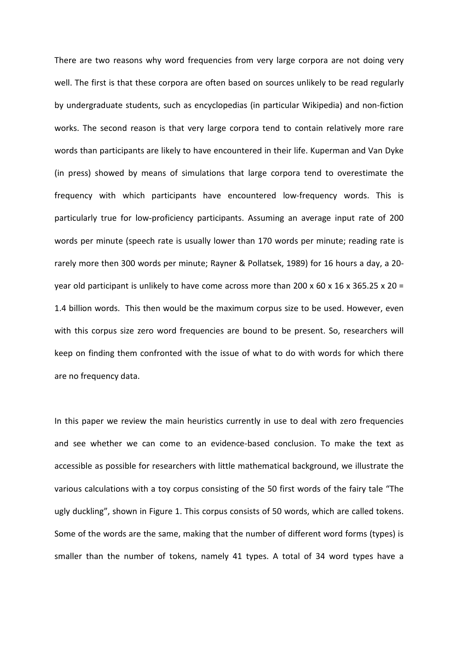There are two reasons why word frequencies from very large corpora are not doing very well. The first is that these corpora are often based on sources unlikely to be read regularly by undergraduate students, such as encyclopedias (in particular Wikipedia) and non-fiction works. The second reason is that very large corpora tend to contain relatively more rare words than participants are likely to have encountered in their life. Kuperman and Van Dyke (in press) showed by means of simulations that large corpora tend to overestimate the frequency with which participants have encountered low-frequency words. This is particularly true for low-proficiency participants. Assuming an average input rate of 200 words per minute (speech rate is usually lower than 170 words per minute; reading rate is rarely more then 300 words per minute; Rayner & Pollatsek, 1989) for 16 hours a day, a 20 year old participant is unlikely to have come across more than 200 x 60 x 16 x 365.25 x 20 = 1.4 billion words. This then would be the maximum corpus size to be used. However, even with this corpus size zero word frequencies are bound to be present. So, researchers will keep on finding them confronted with the issue of what to do with words for which there are no frequency data.

In this paper we review the main heuristics currently in use to deal with zero frequencies and see whether we can come to an evidence-based conclusion. To make the text as accessible as possible for researchers with little mathematical background, we illustrate the various calculations with a toy corpus consisting of the 50 first words of the fairy tale "The ugly duckling", shown in Figure 1. This corpus consists of 50 words, which are called tokens. Some of the words are the same, making that the number of different word forms (types) is smaller than the number of tokens, namely 41 types. A total of 34 word types have a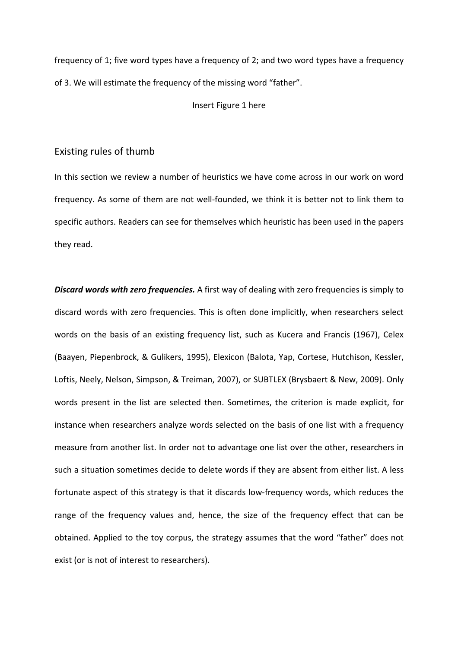frequency of 1; five word types have a frequency of 2; and two word types have a frequency of 3. We will estimate the frequency of the missing word "father".

Insert Figure 1 here

## Existing rules of thumb

In this section we review a number of heuristics we have come across in our work on word frequency. As some of them are not well-founded, we think it is better not to link them to specific authors. Readers can see for themselves which heuristic has been used in the papers they read.

*Discard words with zero frequencies.* A first way of dealing with zero frequencies is simply to discard words with zero frequencies. This is often done implicitly, when researchers select words on the basis of an existing frequency list, such as Kucera and Francis (1967), Celex (Baayen, Piepenbrock, & Gulikers, 1995), Elexicon (Balota, Yap, Cortese, Hutchison, Kessler, Loftis, Neely, Nelson, Simpson, & Treiman, 2007), or SUBTLEX (Brysbaert & New, 2009). Only words present in the list are selected then. Sometimes, the criterion is made explicit, for instance when researchers analyze words selected on the basis of one list with a frequency measure from another list. In order not to advantage one list over the other, researchers in such a situation sometimes decide to delete words if they are absent from either list. A less fortunate aspect of this strategy is that it discards low-frequency words, which reduces the range of the frequency values and, hence, the size of the frequency effect that can be obtained. Applied to the toy corpus, the strategy assumes that the word "father" does not exist (or is not of interest to researchers).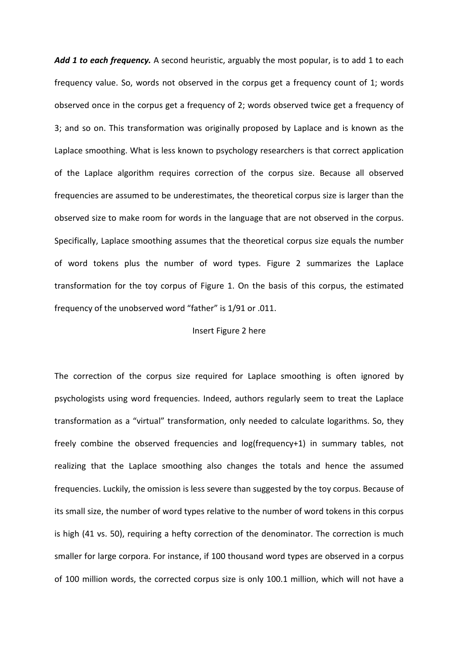Add 1 to each frequency. A second heuristic, arguably the most popular, is to add 1 to each frequency value. So, words not observed in the corpus get a frequency count of 1; words observed once in the corpus get a frequency of 2; words observed twice get a frequency of 3; and so on. This transformation was originally proposed by Laplace and is known as the Laplace smoothing. What is less known to psychology researchers is that correct application of the Laplace algorithm requires correction of the corpus size. Because all observed frequencies are assumed to be underestimates, the theoretical corpus size is larger than the observed size to make room for words in the language that are not observed in the corpus. Specifically, Laplace smoothing assumes that the theoretical corpus size equals the number of word tokens plus the number of word types. Figure 2 summarizes the Laplace transformation for the toy corpus of Figure 1. On the basis of this corpus, the estimated frequency of the unobserved word "father" is 1/91 or .011.

#### Insert Figure 2 here

The correction of the corpus size required for Laplace smoothing is often ignored by psychologists using word frequencies. Indeed, authors regularly seem to treat the Laplace transformation as a "virtual" transformation, only needed to calculate logarithms. So, they freely combine the observed frequencies and log(frequency+1) in summary tables, not realizing that the Laplace smoothing also changes the totals and hence the assumed frequencies. Luckily, the omission is less severe than suggested by the toy corpus. Because of its small size, the number of word types relative to the number of word tokens in this corpus is high (41 vs. 50), requiring a hefty correction of the denominator. The correction is much smaller for large corpora. For instance, if 100 thousand word types are observed in a corpus of 100 million words, the corrected corpus size is only 100.1 million, which will not have a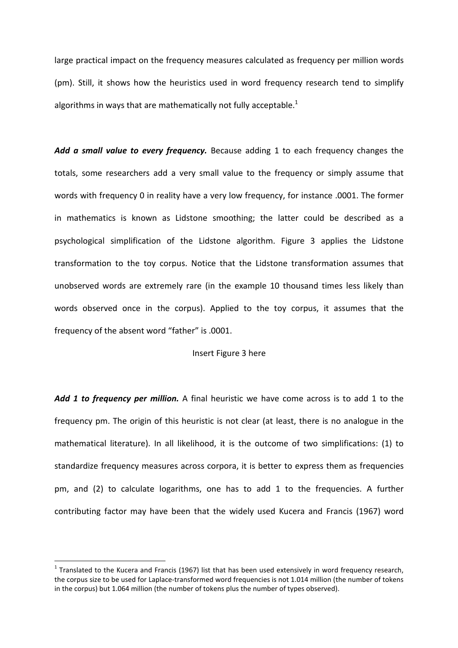large practical impact on the frequency measures calculated as frequency per million words (pm). Still, it shows how the heuristics used in word frequency research tend to simplify algorithms in ways that are mathematically not fully acceptable.<sup>1</sup>

*Add a small value to every frequency.* Because adding 1 to each frequency changes the totals, some researchers add a very small value to the frequency or simply assume that words with frequency 0 in reality have a very low frequency, for instance .0001. The former in mathematics is known as Lidstone smoothing; the latter could be described as a psychological simplification of the Lidstone algorithm. Figure 3 applies the Lidstone transformation to the toy corpus. Notice that the Lidstone transformation assumes that unobserved words are extremely rare (in the example 10 thousand times less likely than words observed once in the corpus). Applied to the toy corpus, it assumes that the frequency of the absent word "father" is .0001.

#### Insert Figure 3 here

*Add 1 to frequency per million.* A final heuristic we have come across is to add 1 to the frequency pm. The origin of this heuristic is not clear (at least, there is no analogue in the mathematical literature). In all likelihood, it is the outcome of two simplifications: (1) to standardize frequency measures across corpora, it is better to express them as frequencies pm, and (2) to calculate logarithms, one has to add 1 to the frequencies. A further contributing factor may have been that the widely used Kucera and Francis (1967) word

l

 $^1$  Translated to the Kucera and Francis (1967) list that has been used extensively in word frequency research, the corpus size to be used for Laplace-transformed word frequencies is not 1.014 million (the number of tokens in the corpus) but 1.064 million (the number of tokens plus the number of types observed).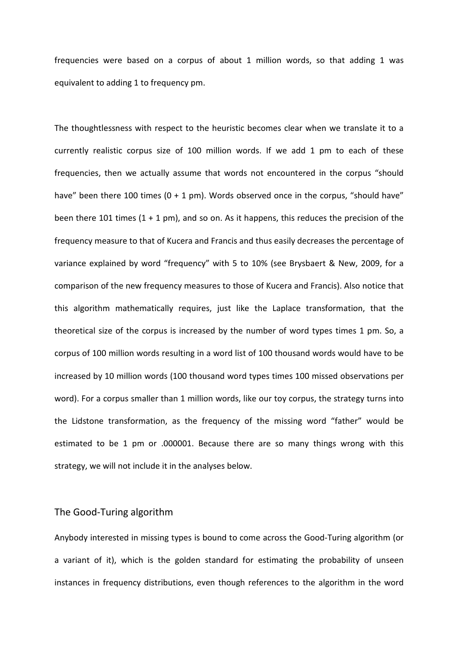frequencies were based on a corpus of about 1 million words, so that adding 1 was equivalent to adding 1 to frequency pm.

The thoughtlessness with respect to the heuristic becomes clear when we translate it to a currently realistic corpus size of 100 million words. If we add 1 pm to each of these frequencies, then we actually assume that words not encountered in the corpus "should have" been there 100 times ( $0 + 1$  pm). Words observed once in the corpus, "should have" been there 101 times  $(1 + 1 \text{ pm})$ , and so on. As it happens, this reduces the precision of the frequency measure to that of Kucera and Francis and thus easily decreases the percentage of variance explained by word "frequency" with 5 to 10% (see Brysbaert & New, 2009, for a comparison of the new frequency measures to those of Kucera and Francis). Also notice that this algorithm mathematically requires, just like the Laplace transformation, that the theoretical size of the corpus is increased by the number of word types times 1 pm. So, a corpus of 100 million words resulting in a word list of 100 thousand words would have to be increased by 10 million words (100 thousand word types times 100 missed observations per word). For a corpus smaller than 1 million words, like our toy corpus, the strategy turns into the Lidstone transformation, as the frequency of the missing word "father" would be estimated to be 1 pm or .000001. Because there are so many things wrong with this strategy, we will not include it in the analyses below.

## The Good-Turing algorithm

Anybody interested in missing types is bound to come across the Good-Turing algorithm (or a variant of it), which is the golden standard for estimating the probability of unseen instances in frequency distributions, even though references to the algorithm in the word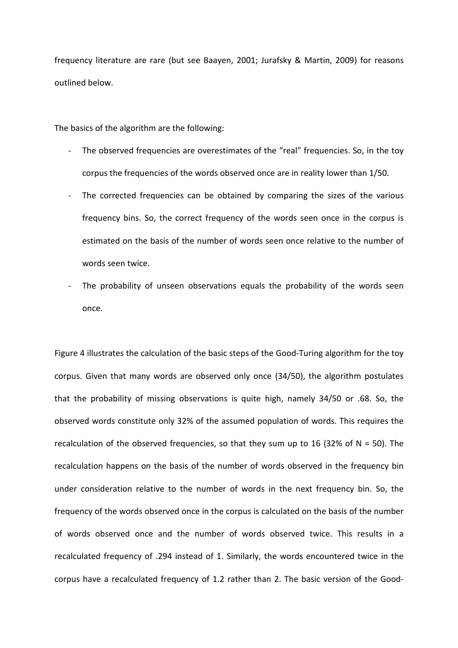frequency literature are rare (but see Baayen, 2001; Jurafsky & Martin, 2009) for reasons outlined below.

The basics of the algorithm are the following:

- The observed frequencies are overestimates of the "real" frequencies. So, in the toy corpus the frequencies of the words observed once are in reality lower than 1/50.
- The corrected frequencies can be obtained by comparing the sizes of the various frequency bins. So, the correct frequency of the words seen once in the corpus is estimated on the basis of the number of words seen once relative to the number of words seen twice.
- The probability of unseen observations equals the probability of the words seen once.

Figure 4 illustrates the calculation of the basic steps of the Good-Turing algorithm for the toy corpus. Given that many words are observed only once (34/50), the algorithm postulates that the probability of missing observations is quite high, namely 34/50 or .68. So, the observed words constitute only 32% of the assumed population of words. This requires the recalculation of the observed frequencies, so that they sum up to 16 (32% of  $N = 50$ ). The recalculation happens on the basis of the number of words observed in the frequency bin under consideration relative to the number of words in the next frequency bin. So, the frequency of the words observed once in the corpus is calculated on the basis of the number of words observed once and the number of words observed twice. This results in a recalculated frequency of .294 instead of 1. Similarly, the words encountered twice in the corpus have a recalculated frequency of 1.2 rather than 2. The basic version of the Good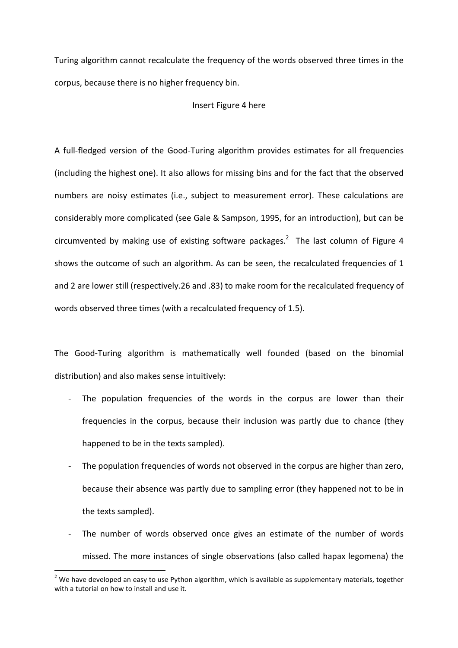Turing algorithm cannot recalculate the frequency of the words observed three times in the corpus, because there is no higher frequency bin.

#### Insert Figure 4 here

A full-fledged version of the Good-Turing algorithm provides estimates for all frequencies (including the highest one). It also allows for missing bins and for the fact that the observed numbers are noisy estimates (i.e., subject to measurement error). These calculations are considerably more complicated (see Gale & Sampson, 1995, for an introduction), but can be circumvented by making use of existing software packages.<sup>2</sup> The last column of Figure 4 shows the outcome of such an algorithm. As can be seen, the recalculated frequencies of 1 and 2 are lower still (respectively.26 and .83) to make room for the recalculated frequency of words observed three times (with a recalculated frequency of 1.5).

The Good-Turing algorithm is mathematically well founded (based on the binomial distribution) and also makes sense intuitively:

- The population frequencies of the words in the corpus are lower than their frequencies in the corpus, because their inclusion was partly due to chance (they happened to be in the texts sampled).
- The population frequencies of words not observed in the corpus are higher than zero, because their absence was partly due to sampling error (they happened not to be in the texts sampled).
- The number of words observed once gives an estimate of the number of words missed. The more instances of single observations (also called hapax legomena) the

 $\overline{a}$ 

 $2$  We have developed an easy to use Python algorithm, which is available as supplementary materials, together with a tutorial on how to install and use it.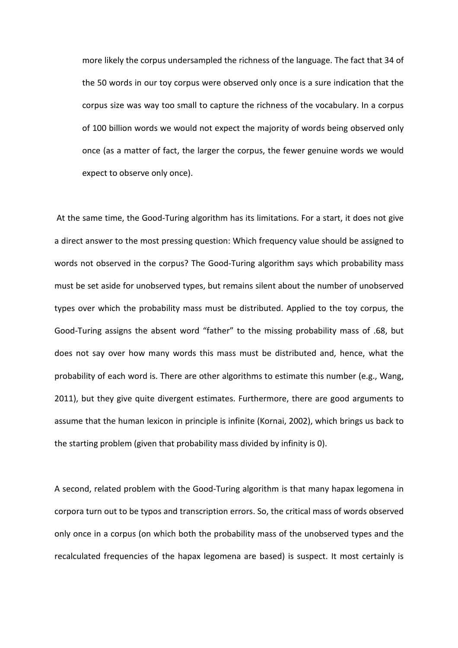more likely the corpus undersampled the richness of the language. The fact that 34 of the 50 words in our toy corpus were observed only once is a sure indication that the corpus size was way too small to capture the richness of the vocabulary. In a corpus of 100 billion words we would not expect the majority of words being observed only once (as a matter of fact, the larger the corpus, the fewer genuine words we would expect to observe only once).

 At the same time, the Good-Turing algorithm has its limitations. For a start, it does not give a direct answer to the most pressing question: Which frequency value should be assigned to words not observed in the corpus? The Good-Turing algorithm says which probability mass must be set aside for unobserved types, but remains silent about the number of unobserved types over which the probability mass must be distributed. Applied to the toy corpus, the Good-Turing assigns the absent word "father" to the missing probability mass of .68, but does not say over how many words this mass must be distributed and, hence, what the probability of each word is. There are other algorithms to estimate this number (e.g., Wang, 2011), but they give quite divergent estimates. Furthermore, there are good arguments to assume that the human lexicon in principle is infinite (Kornai, 2002), which brings us back to the starting problem (given that probability mass divided by infinity is 0).

A second, related problem with the Good-Turing algorithm is that many hapax legomena in corpora turn out to be typos and transcription errors. So, the critical mass of words observed only once in a corpus (on which both the probability mass of the unobserved types and the recalculated frequencies of the hapax legomena are based) is suspect. It most certainly is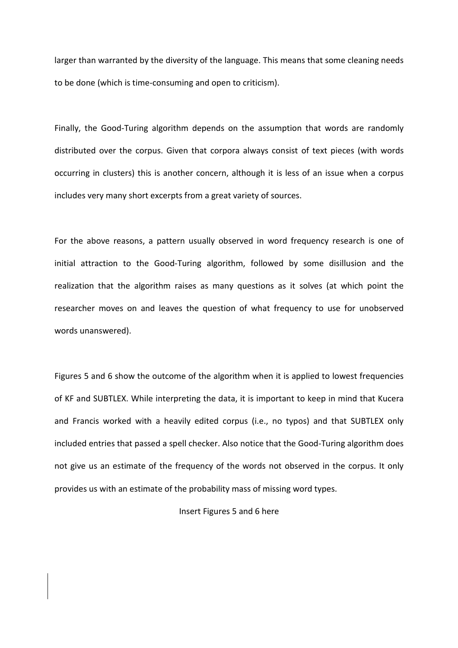larger than warranted by the diversity of the language. This means that some cleaning needs to be done (which is time-consuming and open to criticism).

Finally, the Good-Turing algorithm depends on the assumption that words are randomly distributed over the corpus. Given that corpora always consist of text pieces (with words occurring in clusters) this is another concern, although it is less of an issue when a corpus includes very many short excerpts from a great variety of sources.

For the above reasons, a pattern usually observed in word frequency research is one of initial attraction to the Good-Turing algorithm, followed by some disillusion and the realization that the algorithm raises as many questions as it solves (at which point the researcher moves on and leaves the question of what frequency to use for unobserved words unanswered).

Figures 5 and 6 show the outcome of the algorithm when it is applied to lowest frequencies of KF and SUBTLEX. While interpreting the data, it is important to keep in mind that Kucera and Francis worked with a heavily edited corpus (i.e., no typos) and that SUBTLEX only included entries that passed a spell checker. Also notice that the Good-Turing algorithm does not give us an estimate of the frequency of the words not observed in the corpus. It only provides us with an estimate of the probability mass of missing word types.

#### Insert Figures 5 and 6 here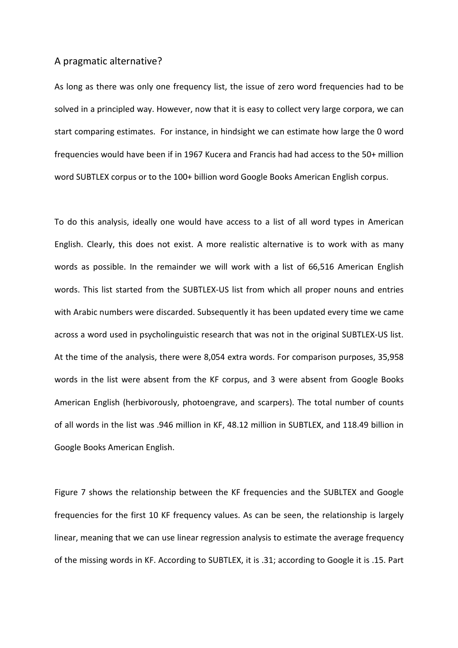## A pragmatic alternative?

As long as there was only one frequency list, the issue of zero word frequencies had to be solved in a principled way. However, now that it is easy to collect very large corpora, we can start comparing estimates. For instance, in hindsight we can estimate how large the 0 word frequencies would have been if in 1967 Kucera and Francis had had access to the 50+ million word SUBTLEX corpus or to the 100+ billion word Google Books American English corpus.

To do this analysis, ideally one would have access to a list of all word types in American English. Clearly, this does not exist. A more realistic alternative is to work with as many words as possible. In the remainder we will work with a list of 66,516 American English words. This list started from the SUBTLEX-US list from which all proper nouns and entries with Arabic numbers were discarded. Subsequently it has been updated every time we came across a word used in psycholinguistic research that was not in the original SUBTLEX-US list. At the time of the analysis, there were 8,054 extra words. For comparison purposes, 35,958 words in the list were absent from the KF corpus, and 3 were absent from Google Books American English (herbivorously, photoengrave, and scarpers). The total number of counts of all words in the list was .946 million in KF, 48.12 million in SUBTLEX, and 118.49 billion in Google Books American English.

Figure 7 shows the relationship between the KF frequencies and the SUBLTEX and Google frequencies for the first 10 KF frequency values. As can be seen, the relationship is largely linear, meaning that we can use linear regression analysis to estimate the average frequency of the missing words in KF. According to SUBTLEX, it is .31; according to Google it is .15. Part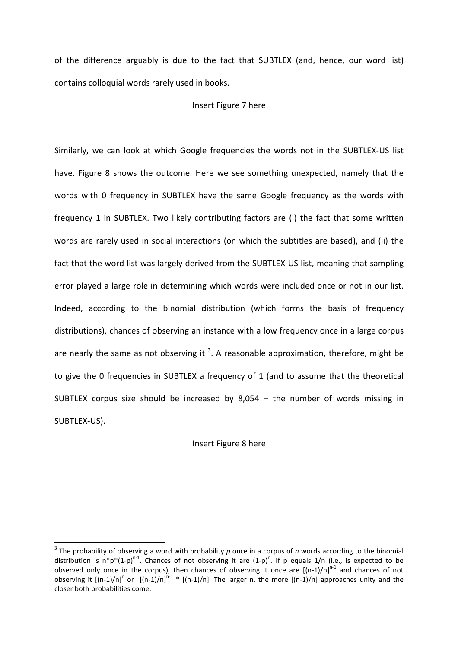of the difference arguably is due to the fact that SUBTLEX (and, hence, our word list) contains colloquial words rarely used in books.

#### Insert Figure 7 here

Similarly, we can look at which Google frequencies the words not in the SUBTLEX-US list have. Figure 8 shows the outcome. Here we see something unexpected, namely that the words with 0 frequency in SUBTLEX have the same Google frequency as the words with frequency 1 in SUBTLEX. Two likely contributing factors are (i) the fact that some written words are rarely used in social interactions (on which the subtitles are based), and (ii) the fact that the word list was largely derived from the SUBTLEX-US list, meaning that sampling error played a large role in determining which words were included once or not in our list. Indeed, according to the binomial distribution (which forms the basis of frequency distributions), chances of observing an instance with a low frequency once in a large corpus are nearly the same as not observing it  $3$ . A reasonable approximation, therefore, might be to give the 0 frequencies in SUBTLEX a frequency of 1 (and to assume that the theoretical SUBTLEX corpus size should be increased by 8,054 – the number of words missing in SUBTLEX-US).

Insert Figure 8 here

l

<sup>3</sup> The probability of observing a word with probability *p* once in a corpus of *n* words according to the binomial distribution is  $n^*p^*(1-p)^{n-1}$ . Chances of not observing it are  $(1-p)^n$ . If p equals 1/n (i.e., is expected to be observed only once in the corpus), then chances of observing it once are  $[(n-1)/n]^{n-1}$  and chances of not observing it  $[(n-1)/n]^n$  or  $[(n-1)/n]^{n-1}$  \*  $[(n-1)/n]$ . The larger n, the more  $[(n-1)/n]$  approaches unity and the closer both probabilities come.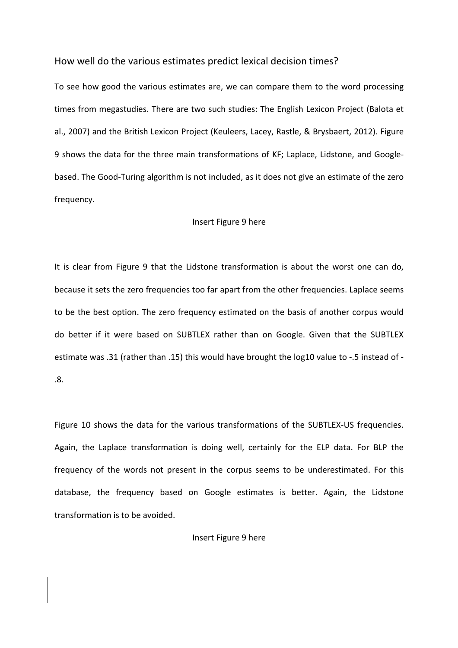## How well do the various estimates predict lexical decision times?

To see how good the various estimates are, we can compare them to the word processing times from megastudies. There are two such studies: The English Lexicon Project (Balota et al., 2007) and the British Lexicon Project (Keuleers, Lacey, Rastle, & Brysbaert, 2012). Figure 9 shows the data for the three main transformations of KF; Laplace, Lidstone, and Googlebased. The Good-Turing algorithm is not included, as it does not give an estimate of the zero frequency.

#### Insert Figure 9 here

It is clear from Figure 9 that the Lidstone transformation is about the worst one can do, because it sets the zero frequencies too far apart from the other frequencies. Laplace seems to be the best option. The zero frequency estimated on the basis of another corpus would do better if it were based on SUBTLEX rather than on Google. Given that the SUBTLEX estimate was .31 (rather than .15) this would have brought the log10 value to -.5 instead of - .8.

Figure 10 shows the data for the various transformations of the SUBTLEX-US frequencies. Again, the Laplace transformation is doing well, certainly for the ELP data. For BLP the frequency of the words not present in the corpus seems to be underestimated. For this database, the frequency based on Google estimates is better. Again, the Lidstone transformation is to be avoided.

Insert Figure 9 here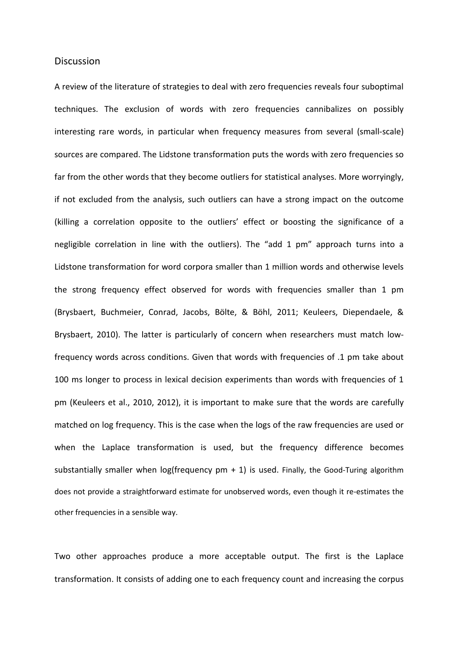#### **Discussion**

A review of the literature of strategies to deal with zero frequencies reveals four suboptimal techniques. The exclusion of words with zero frequencies cannibalizes on possibly interesting rare words, in particular when frequency measures from several (small-scale) sources are compared. The Lidstone transformation puts the words with zero frequencies so far from the other words that they become outliers for statistical analyses. More worryingly, if not excluded from the analysis, such outliers can have a strong impact on the outcome (killing a correlation opposite to the outliers' effect or boosting the significance of a negligible correlation in line with the outliers). The "add 1 pm" approach turns into a Lidstone transformation for word corpora smaller than 1 million words and otherwise levels the strong frequency effect observed for words with frequencies smaller than 1 pm (Brysbaert, Buchmeier, Conrad, Jacobs, Bölte, & Böhl, 2011; Keuleers, Diependaele, & Brysbaert, 2010). The latter is particularly of concern when researchers must match lowfrequency words across conditions. Given that words with frequencies of .1 pm take about 100 ms longer to process in lexical decision experiments than words with frequencies of 1 pm (Keuleers et al., 2010, 2012), it is important to make sure that the words are carefully matched on log frequency. This is the case when the logs of the raw frequencies are used or when the Laplace transformation is used, but the frequency difference becomes substantially smaller when  $log(frequency pm + 1)$  is used. Finally, the Good-Turing algorithm does not provide a straightforward estimate for unobserved words, even though it re-estimates the other frequencies in a sensible way.

Two other approaches produce a more acceptable output. The first is the Laplace transformation. It consists of adding one to each frequency count and increasing the corpus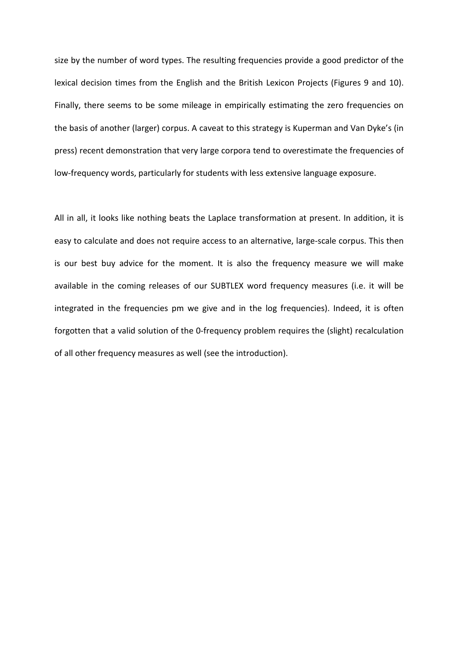size by the number of word types. The resulting frequencies provide a good predictor of the lexical decision times from the English and the British Lexicon Projects (Figures 9 and 10). Finally, there seems to be some mileage in empirically estimating the zero frequencies on the basis of another (larger) corpus. A caveat to this strategy is Kuperman and Van Dyke's (in press) recent demonstration that very large corpora tend to overestimate the frequencies of low-frequency words, particularly for students with less extensive language exposure.

All in all, it looks like nothing beats the Laplace transformation at present. In addition, it is easy to calculate and does not require access to an alternative, large-scale corpus. This then is our best buy advice for the moment. It is also the frequency measure we will make available in the coming releases of our SUBTLEX word frequency measures (i.e. it will be integrated in the frequencies pm we give and in the log frequencies). Indeed, it is often forgotten that a valid solution of the 0-frequency problem requires the (slight) recalculation of all other frequency measures as well (see the introduction).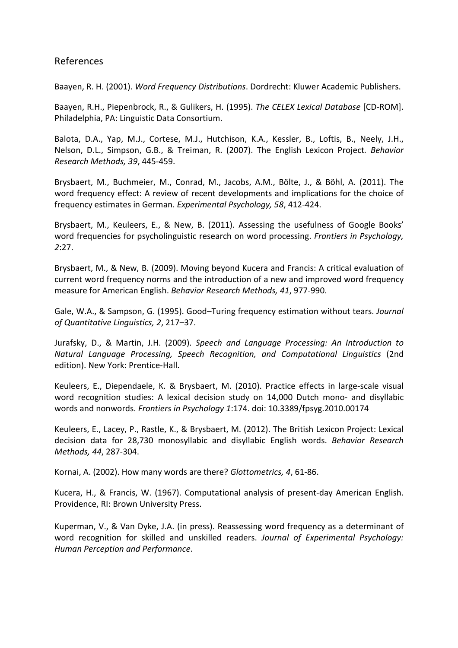## References

Baayen, R. H. (2001). *Word Frequency Distributions*. Dordrecht: Kluwer Academic Publishers.

Baayen, R.H., Piepenbrock, R., & Gulikers, H. (1995). *The CELEX Lexical Database* [CD-ROM]. Philadelphia, PA: Linguistic Data Consortium.

Balota, D.A., Yap, M.J., Cortese, M.J., Hutchison, K.A., Kessler, B., Loftis, B., Neely, J.H., Nelson, D.L., Simpson, G.B., & Treiman, R. (2007). The English Lexicon Project*. Behavior Research Methods, 39*, 445-459.

Brysbaert, M., Buchmeier, M., Conrad, M., Jacobs, A.M., Bölte, J., & Böhl, A. (2011). The word frequency effect: A review of recent developments and implications for the choice of frequency estimates in German. *Experimental Psychology, 58*, 412-424.

Brysbaert, M., Keuleers, E., & New, B. (2011). Assessing the usefulness of Google Books' word frequencies for psycholinguistic research on word processing. *Frontiers in Psychology, 2*:27.

Brysbaert, M., & New, B. (2009). Moving beyond Kucera and Francis: A critical evaluation of current word frequency norms and the introduction of a new and improved word frequency measure for American English. *Behavior Research Methods, 41*, 977-990.

Gale, W.A., & Sampson, G. (1995). Good–Turing frequency estimation without tears. *Journal of Quantitative Linguistics, 2*, 217–37.

Jurafsky, D., & Martin, J.H. (2009). *Speech and Language Processing: An Introduction to Natural Language Processing, Speech Recognition, and Computational Linguistics* (2nd edition). New York: Prentice-Hall.

Keuleers, E., Diependaele, K. & Brysbaert, M. (2010). Practice effects in large-scale visual word recognition studies: A lexical decision study on 14,000 Dutch mono- and disyllabic words and nonwords. *Frontiers in Psychology 1*:174. doi: 10.3389/fpsyg.2010.00174

Keuleers, E., Lacey, P., Rastle, K., & Brysbaert, M. (2012). The British Lexicon Project: Lexical decision data for 28,730 monosyllabic and disyllabic English words. *Behavior Research Methods, 44*, 287-304.

Kornai, A. (2002). How many words are there? *Glottometrics, 4*, 61-86.

Kucera, H., & Francis, W. (1967). Computational analysis of present-day American English. Providence, RI: Brown University Press.

Kuperman, V., & Van Dyke, J.A. (in press). Reassessing word frequency as a determinant of word recognition for skilled and unskilled readers. *Journal of Experimental Psychology: Human Perception and Performance*.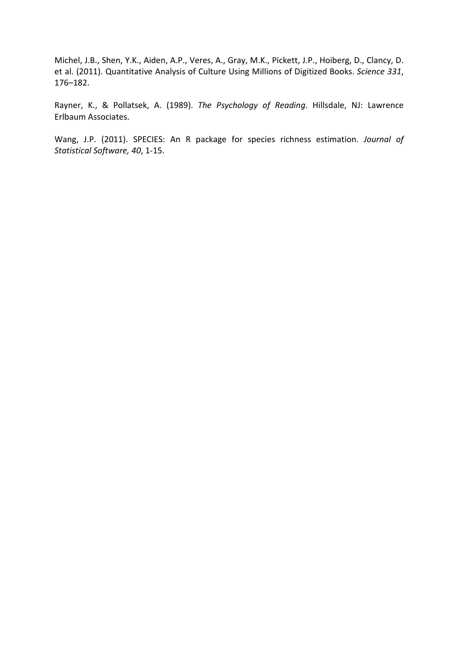Michel, J.B., Shen, Y.K., Aiden, A.P., Veres, A., Gray, M.K., Pickett, J.P., Hoiberg, D., Clancy, D. et al. (2011). Quantitative Analysis of Culture Using Millions of Digitized Books. *Science 331*, 176–182.

Rayner, K., & Pollatsek, A. (1989). *The Psychology of Reading*. Hillsdale, NJ: Lawrence Erlbaum Associates.

Wang, J.P. (2011). SPECIES: An R package for species richness estimation. *Journal of Statistical Software, 40*, 1-15.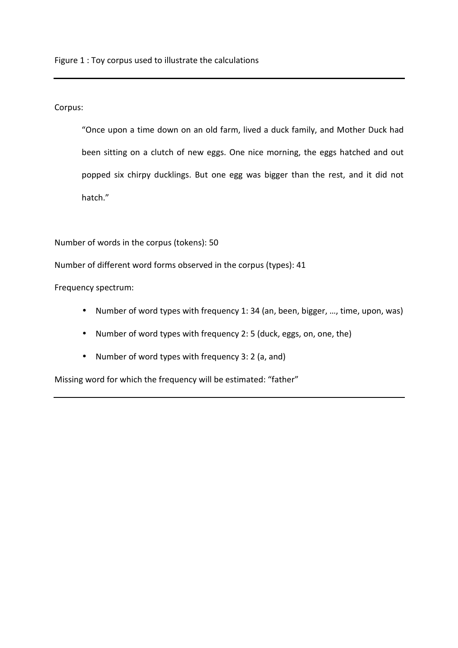Figure 1 : Toy corpus used to illustrate the calculations

Corpus:

"Once upon a time down on an old farm, lived a duck family, and Mother Duck had been sitting on a clutch of new eggs. One nice morning, the eggs hatched and out popped six chirpy ducklings. But one egg was bigger than the rest, and it did not hatch."

Number of words in the corpus (tokens): 50

Number of different word forms observed in the corpus (types): 41

Frequency spectrum:

- Number of word types with frequency 1: 34 (an, been, bigger, …, time, upon, was)
- Number of word types with frequency 2: 5 (duck, eggs, on, one, the)
- Number of word types with frequency 3: 2 (a, and)

Missing word for which the frequency will be estimated: "father"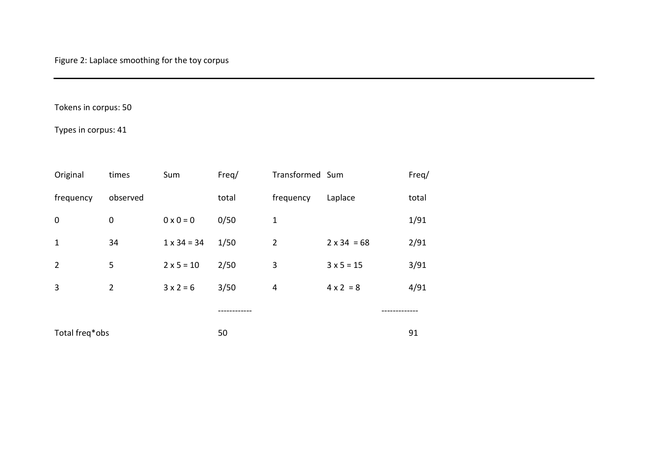## Tokens in corpus: 50

## Types in corpus: 41

| Original       | times          | Sum                | Freq/ | Transformed Sum |                    | Freq/ |
|----------------|----------------|--------------------|-------|-----------------|--------------------|-------|
| frequency      | observed       |                    | total | frequency       | Laplace            | total |
| $\mathbf 0$    | $\mathbf 0$    | $0 \times 0 = 0$   | 0/50  | $\mathbf{1}$    |                    | 1/91  |
| $\mathbf{1}$   | 34             | $1 \times 34 = 34$ | 1/50  | $\overline{2}$  | $2 \times 34 = 68$ | 2/91  |
| $\overline{2}$ | 5              | $2 \times 5 = 10$  | 2/50  | 3               | $3 x 5 = 15$       | 3/91  |
| 3              | $\overline{2}$ | $3x2=6$            | 3/50  | $\overline{4}$  | $4 \times 2 = 8$   | 4/91  |
|                |                |                    |       |                 |                    |       |
| Total freq*obs |                |                    | 50    |                 |                    | 91    |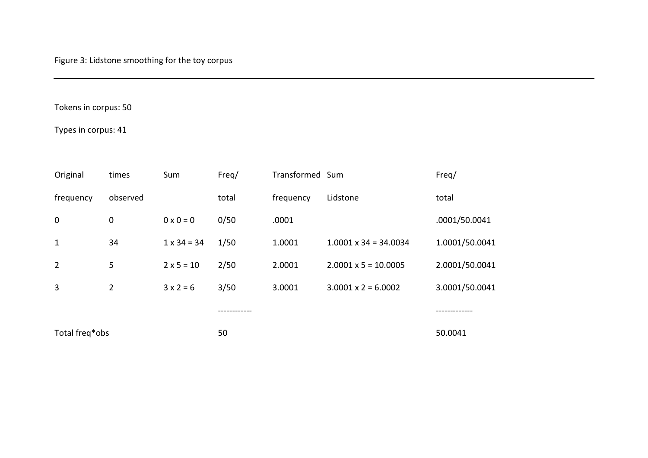## Tokens in corpus: 50

Types in corpus: 41

| Original       | times          | Sum                | Freq/ | Transformed Sum |                              | Freq/          |
|----------------|----------------|--------------------|-------|-----------------|------------------------------|----------------|
| frequency      | observed       |                    | total | frequency       | Lidstone                     | total          |
| $\mathbf 0$    | 0              | $0 \times 0 = 0$   | 0/50  | .0001           |                              | .0001/50.0041  |
| $\mathbf{1}$   | 34             | $1 \times 34 = 34$ | 1/50  | 1.0001          | $1.0001 \times 34 = 34.0034$ | 1.0001/50.0041 |
| $\overline{2}$ | 5              | $2 \times 5 = 10$  | 2/50  | 2.0001          | $2.0001 \times 5 = 10.0005$  | 2.0001/50.0041 |
| 3              | $\overline{2}$ | $3x2=6$            | 3/50  | 3.0001          | $3.0001 \times 2 = 6.0002$   | 3.0001/50.0041 |
|                |                |                    |       |                 |                              |                |
| Total freq*obs |                |                    | 50    |                 |                              | 50.0041        |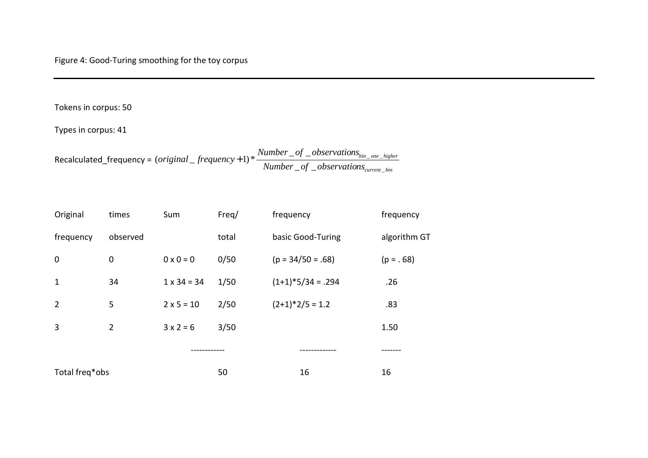## Tokens in corpus: 50

Types in corpus: 41

Recalculated\_frequency =  $(original\_frequency+1)*$   $\frac{1}{Number\_of\_observations_{current\_bin}}$ *bin one higher Number of observations niginal* \_ frequency + 1) \*  $\frac{Number\_of\_observations_{bin\_one\_i}}{Number\_of\_observations_{current\_i}}$  $\circ$   $-$ (original \_frequency +1)  $*$   $\frac{2}{\sqrt{2\pi}}$   $\frac{2}{\sqrt{2\pi}}$  of

| Original       | times          | Sum                | Freq/ | frequency           | frequency    |
|----------------|----------------|--------------------|-------|---------------------|--------------|
| frequency      | observed       |                    | total | basic Good-Turing   | algorithm GT |
| $\mathbf 0$    | $\mathbf 0$    | $0 \times 0 = 0$   | 0/50  | $(p = 34/50 = .68)$ | $(p = . 68)$ |
| $\mathbf{1}$   | 34             | $1 \times 34 = 34$ | 1/50  | $(1+1)*5/34 = .294$ | .26          |
| $\overline{2}$ | 5              | $2 \times 5 = 10$  | 2/50  | $(2+1)*2/5 = 1.2$   | .83          |
| $\overline{3}$ | $\overline{2}$ | $3x2=6$            | 3/50  |                     | 1.50         |
|                |                |                    |       |                     |              |
| Total freq*obs |                | 50                 | 16    | 16                  |              |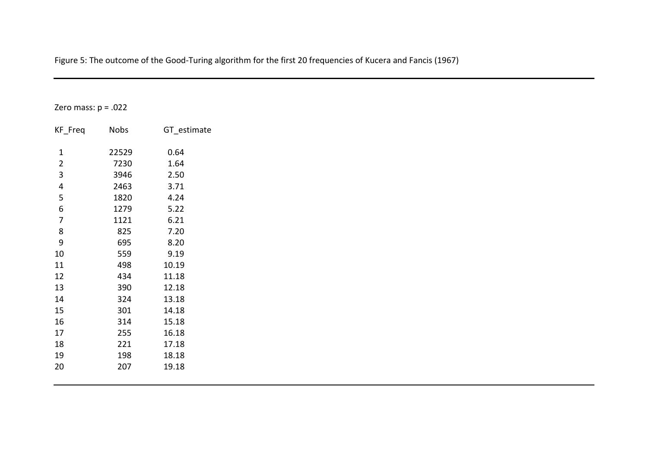| Zero mass: $p = .022$ |       |             |
|-----------------------|-------|-------------|
|                       |       |             |
| KF_Freq               | Nobs  | GT_estimate |
|                       |       |             |
| $\mathbf{1}$          | 22529 | 0.64        |
| $\overline{2}$        | 7230  | 1.64        |
| $\mathbf{3}$          | 3946  | 2.50        |
| $\overline{4}$        | 2463  | 3.71        |
| 5                     | 1820  | 4.24        |
| 6                     | 1279  | 5.22        |
| $\overline{7}$        | 1121  | 6.21        |
| $\,8\,$               | 825   | 7.20        |
| $\boldsymbol{9}$      | 695   | 8.20        |
| 10                    | 559   | 9.19        |
| 11                    | 498   | 10.19       |
| 12                    | 434   | 11.18       |
| 13                    | 390   | 12.18       |
| 14                    | 324   | 13.18       |
| 15                    | 301   | 14.18       |
| 16                    | 314   | 15.18       |
| 17                    | 255   | 16.18       |
| 18                    | 221   | 17.18       |
|                       |       | 18.18       |
| 19                    | 198   |             |
| 20                    | 207   | 19.18       |

Figure 5: The outcome of the Good-Turing algorithm for the first 20 frequencies of Kucera and Fancis (1967)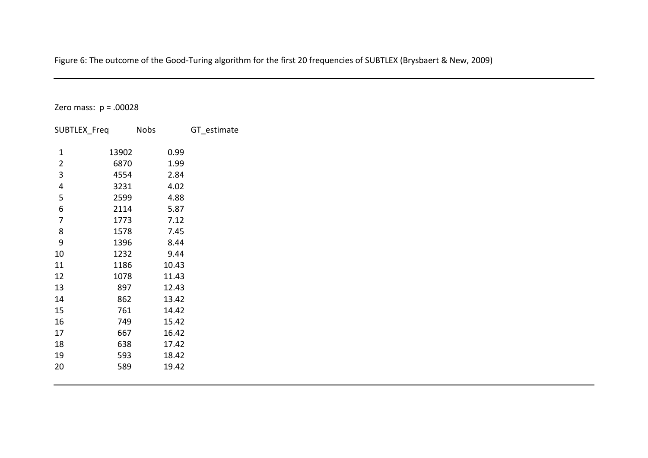Figure 6: The outcome of the Good-Turing algorithm for the first 20 frequencies of SUBTLEX (Brysbaert & New, 2009)

Zero mass: p = .00028

| 13902<br>0.99<br>1                      |  |
|-----------------------------------------|--|
|                                         |  |
| $\overline{\mathbf{c}}$<br>6870<br>1.99 |  |
| 3<br>4554<br>2.84                       |  |
| 4<br>4.02<br>3231                       |  |
| 5<br>2599<br>4.88                       |  |
| 6<br>2114<br>5.87                       |  |
| 7<br>1773<br>7.12                       |  |
| 8<br>1578<br>7.45                       |  |
| 9<br>1396<br>8.44                       |  |
| 10<br>1232<br>9.44                      |  |
| 11<br>1186<br>10.43                     |  |
| 12<br>1078<br>11.43                     |  |
| 13<br>897<br>12.43                      |  |
| 14<br>862<br>13.42                      |  |
| 15<br>761<br>14.42                      |  |
| 16<br>749<br>15.42                      |  |
| 17<br>667<br>16.42                      |  |
| 18<br>638<br>17.42                      |  |
| 19<br>593<br>18.42                      |  |
| 20<br>589<br>19.42                      |  |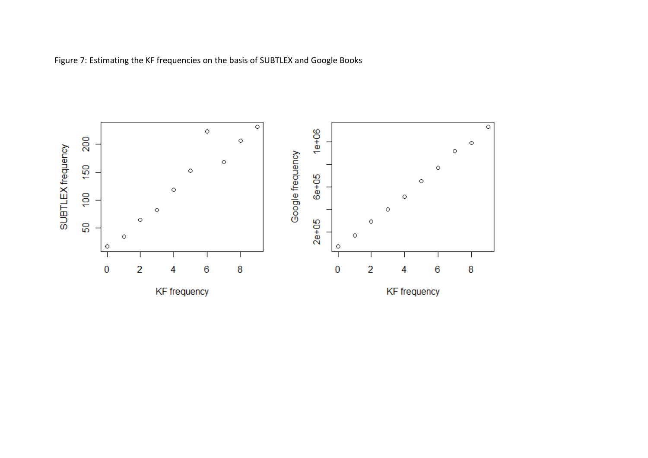

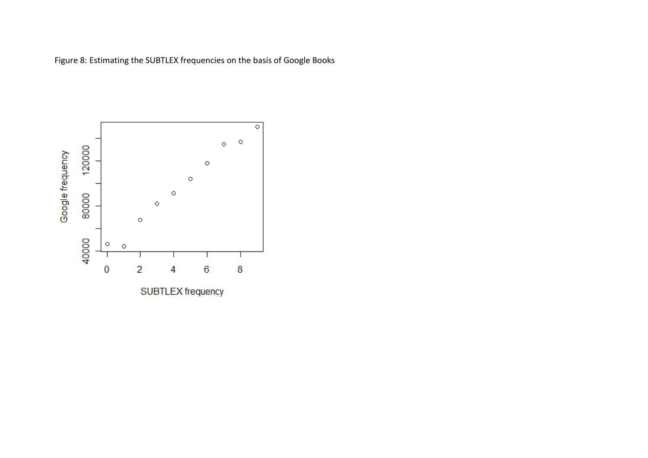Figure 8: Estimating the SUBTLEX frequencies on the basis of Google Books

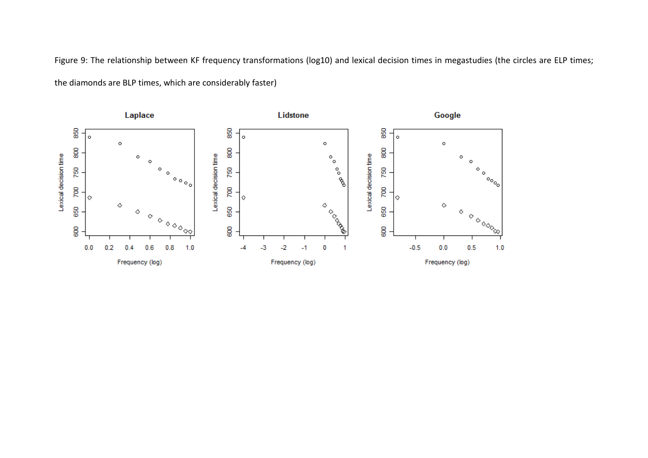Figure 9: The relationship between KF frequency transformations (log10) and lexical decision times in megastudies (the circles are ELP times; the diamonds are BLP times, which are considerably faster)